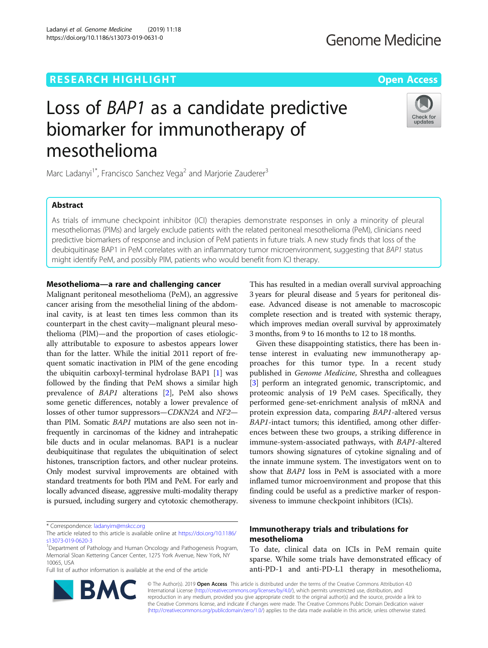## **RESEARCH HIGHLIGHT CONSUMING THE OPEN ACCESS**

Ladanyi et al. Genome Medicine (2019) 11:18 https://doi.org/10.1186/s13073-019-0631-0

## **Genome Medicine**

# Loss of BAP1 as a candidate predictive biomarker for immunotherapy of mesothelioma



Marc Ladanyi<sup>1\*</sup>, Francisco Sanchez Vega<sup>2</sup> and Marjorie Zauderer<sup>3</sup>

### Abstract

As trials of immune checkpoint inhibitor (ICI) therapies demonstrate responses in only a minority of pleural mesotheliomas (PlMs) and largely exclude patients with the related peritoneal mesothelioma (PeM), clinicians need predictive biomarkers of response and inclusion of PeM patients in future trials. A new study finds that loss of the deubiquitinase BAP1 in PeM correlates with an inflammatory tumor microenvironment, suggesting that BAP1 status might identify PeM, and possibly PlM, patients who would benefit from ICI therapy.

#### Mesothelioma—a rare and challenging cancer

Malignant peritoneal mesothelioma (PeM), an aggressive cancer arising from the mesothelial lining of the abdominal cavity, is at least ten times less common than its counterpart in the chest cavity—malignant pleural mesothelioma (PlM)—and the proportion of cases etiologically attributable to exposure to asbestos appears lower than for the latter. While the initial 2011 report of frequent somatic inactivation in PlM of the gene encoding the ubiquitin carboxyl-terminal hydrolase BAP1 [[1](#page-2-0)] was followed by the finding that PeM shows a similar high prevalence of BAP1 alterations [[2\]](#page-2-0), PeM also shows some genetic differences, notably a lower prevalence of losses of other tumor suppressors—CDKN2A and NF2 than PlM. Somatic BAP1 mutations are also seen not infrequently in carcinomas of the kidney and intrahepatic bile ducts and in ocular melanomas. BAP1 is a nuclear deubiquitinase that regulates the ubiquitination of select histones, transcription factors, and other nuclear proteins. Only modest survival improvements are obtained with standard treatments for both PlM and PeM. For early and locally advanced disease, aggressive multi-modality therapy is pursued, including surgery and cytotoxic chemotherapy.

Full list of author information is available at the end of the article



This has resulted in a median overall survival approaching 3 years for pleural disease and 5 years for peritoneal disease. Advanced disease is not amenable to macroscopic complete resection and is treated with systemic therapy, which improves median overall survival by approximately 3 months, from 9 to 16 months to 12 to 18 months.

Given these disappointing statistics, there has been intense interest in evaluating new immunotherapy approaches for this tumor type. In a recent study published in Genome Medicine, Shrestha and colleagues [[3\]](#page-2-0) perform an integrated genomic, transcriptomic, and proteomic analysis of 19 PeM cases. Specifically, they performed gene-set-enrichment analysis of mRNA and protein expression data, comparing BAP1-altered versus BAP1-intact tumors; this identified, among other differences between these two groups, a striking difference in immune-system-associated pathways, with BAP1-altered tumors showing signatures of cytokine signaling and of the innate immune system. The investigators went on to show that BAP1 loss in PeM is associated with a more inflamed tumor microenvironment and propose that this finding could be useful as a predictive marker of responsiveness to immune checkpoint inhibitors (ICIs).

#### Immunotherapy trials and tribulations for mesothelioma

To date, clinical data on ICIs in PeM remain quite sparse. While some trials have demonstrated efficacy of anti-PD-1 and anti-PD-L1 therapy in mesothelioma,

© The Author(s). 2019 Open Access This article is distributed under the terms of the Creative Commons Attribution 4.0 International License [\(http://creativecommons.org/licenses/by/4.0/](http://creativecommons.org/licenses/by/4.0/)), which permits unrestricted use, distribution, and reproduction in any medium, provided you give appropriate credit to the original author(s) and the source, provide a link to the Creative Commons license, and indicate if changes were made. The Creative Commons Public Domain Dedication waiver [\(http://creativecommons.org/publicdomain/zero/1.0/](http://creativecommons.org/publicdomain/zero/1.0/)) applies to the data made available in this article, unless otherwise stated.

<sup>\*</sup> Correspondence: [ladanyim@mskcc.org](mailto:ladanyim@mskcc.org)

The article related to this article is available online at [https://doi.org/10.1186/](https://doi.org/10.1186/s13073-019-0620-3) [s13073-019-0620-3](https://doi.org/10.1186/s13073-019-0620-3)

<sup>&</sup>lt;sup>1</sup>Department of Pathology and Human Oncology and Pathogenesis Program, Memorial Sloan Kettering Cancer Center, 1275 York Avenue, New York, NY 10065, USA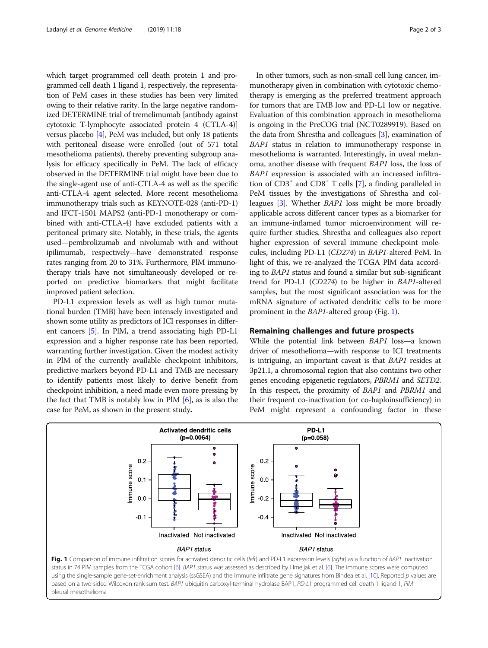<span id="page-1-0"></span>which target programmed cell death protein 1 and programmed cell death 1 ligand 1, respectively, the representation of PeM cases in these studies has been very limited owing to their relative rarity. In the large negative randomized DETERMINE trial of tremelimumab [antibody against cytotoxic T-lymphocyte associated protein 4 (CTLA-4)] versus placebo [\[4](#page-2-0)], PeM was included, but only 18 patients with peritoneal disease were enrolled (out of 571 total mesothelioma patients), thereby preventing subgroup analysis for efficacy specifically in PeM. The lack of efficacy observed in the DETERMINE trial might have been due to the single-agent use of anti-CTLA-4 as well as the specific anti-CTLA-4 agent selected. More recent mesothelioma immunotherapy trials such as KEYNOTE-028 (anti-PD-1) and IFCT-1501 MAPS2 (anti-PD-1 monotherapy or combined with anti-CTLA-4) have excluded patients with a peritoneal primary site. Notably, in these trials, the agents used—pembrolizumab and nivolumab with and without ipilimumab, respectively—have demonstrated response rates ranging from 20 to 31%. Furthermore, PlM immunotherapy trials have not simultaneously developed or reported on predictive biomarkers that might facilitate improved patient selection.

PD-L1 expression levels as well as high tumor mutational burden (TMB) have been intensely investigated and shown some utility as predictors of ICI responses in different cancers [[5\]](#page-2-0). In PlM, a trend associating high PD-L1 expression and a higher response rate has been reported, warranting further investigation. Given the modest activity in PlM of the currently available checkpoint inhibitors, predictive markers beyond PD-L1 and TMB are necessary to identify patients most likely to derive benefit from checkpoint inhibition, a need made even more pressing by the fact that TMB is notably low in PlM [[6\]](#page-2-0), as is also the case for PeM, as shown in the present study.

In other tumors, such as non-small cell lung cancer, immunotherapy given in combination with cytotoxic chemotherapy is emerging as the preferred treatment approach for tumors that are TMB low and PD-L1 low or negative. Evaluation of this combination approach in mesothelioma is ongoing in the PreCOG trial (NCT0289919). Based on the data from Shrestha and colleagues [\[3\]](#page-2-0), examination of BAP1 status in relation to immunotherapy response in mesothelioma is warranted. Interestingly, in uveal melanoma, another disease with frequent BAP1 loss, the loss of BAP1 expression is associated with an increased infiltration of  $CD3^+$  and  $CD8^+$  T cells [\[7\]](#page-2-0), a finding paralleled in PeM tissues by the investigations of Shrestha and colleagues [\[3\]](#page-2-0). Whether BAP1 loss might be more broadly applicable across different cancer types as a biomarker for an immune-inflamed tumor microenvironment will require further studies. Shrestha and colleagues also report higher expression of several immune checkpoint molecules, including PD-L1 (CD274) in BAP1-altered PeM. In light of this, we re-analyzed the TCGA PlM data according to BAP1 status and found a similar but sub-significant trend for PD-L1 (CD274) to be higher in BAP1-altered samples, but the most significant association was for the mRNA signature of activated dendritic cells to be more prominent in the BAP1-altered group (Fig. 1).

#### Remaining challenges and future prospects

While the potential link between BAP1 loss—a known driver of mesothelioma—with response to ICI treatments is intriguing, an important caveat is that BAP1 resides at 3p21.1, a chromosomal region that also contains two other genes encoding epigenetic regulators, PBRM1 and SETD2. In this respect, the proximity of BAP1 and PBRM1 and their frequent co-inactivation (or co-haploinsufficiency) in PeM might represent a confounding factor in these